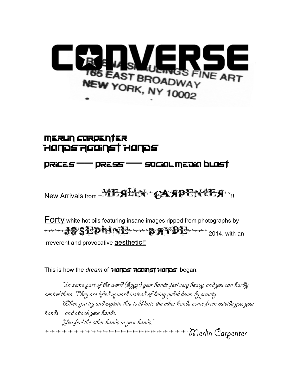

### **MERLIN CORPENTER** Hands Against Hands

#### prices –– press –– social media blast

New Arrivals from MEALIN CAAPEN TEA

**Forty** white hot oils featuring insane images ripped from photographs by **THE REPLIE THE PRYDE 1997** irreverent and provocative **aesthetic!!** 

This is how the *dream* of Hands Against Hands began:

"In some part of the world (Egypt) your hands feel very heavy, and you can hardly control them. They are lifted upward instead of being pulled down by gravity. When you try and explain this to Marie the other hands come from outside you, your hands – and attack your hands. You feel the other hands in your hands." \*\*\*\*\*\*\*\*\*\*\*\*\*\*\*\*\*\*\*\*\*\*\*\*\*\*\*\*\*\*\*\*\*\*Merlin Carpenter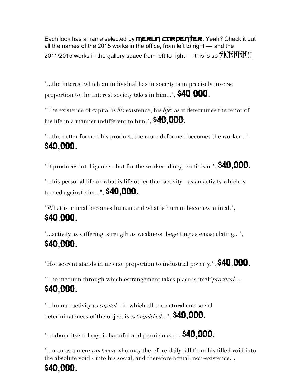Each look has a name selected by **MERLIN CORPENTER**. Yeah? Check it out all the names of the 2015 works in the office, from left to right — and the 2011/2015 works in the gallery space from left to right — this is so  $\mathcal{IICKKKK}$ !

"...the interest which an individual has in society is in precisely inverse proportion to the interest society takes in him...", \$40,000.

"The existence of capital is *his* existence, his *life*; as it determines the tenor of his life in a manner indifferent to him.", \$40,000.

"...the better formed his product, the more deformed becomes the worker...", \$40,000.

"It produces intelligence - but for the worker idiocy, cretinism.",  $$40,000$ .

"...his personal life or what is life other than activity - as an activity which is turned against him...", \$40,000.

"What is animal becomes human and what is human becomes animal.", \$40,000.

"...activity as suffering, strength as weakness, begetting as emasculating...", \$40,000.

"House-rent stands in inverse proportion to industrial poverty.", **\$40,000.** 

"The medium through which estrangement takes place is itself *practical*.", \$40,000.

"...human activity as *capital* - in which all the natural and social determinateness of the object is *extinguished*...", \$40,000.

"...labour itself, I say, is harmful and pernicious...",  $$40,000$ .

"...man as a mere *workman* who may therefore daily fall from his filled void into the absolute void - into his social, and therefore actual, non-existence.",

### \$40,000.